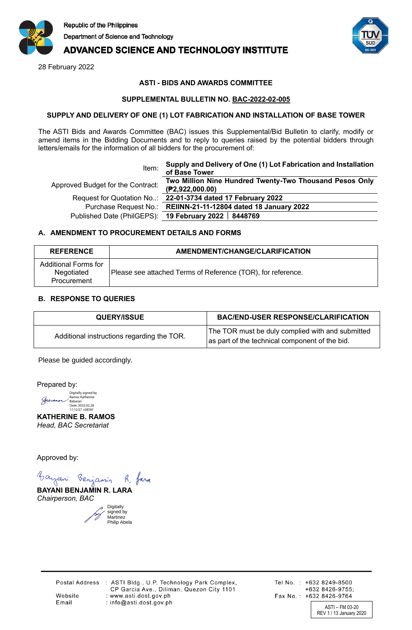

# **ADVANCED SCIENCE AND TECHNOLOGY INSTITUTE**

28 February 2022



### **ASTI - BIDS AND AWARDS COMMITTEE**

#### **SUPPLEMENTAL BULLETIN NO. BAC-2022-02-005**

#### **SUPPLY AND DELIVERY OF ONE (1) LOT FABRICATION AND INSTALLATION OF BASE TOWER**

The ASTI Bids and Awards Committee (BAC) issues this Supplemental/Bid Bulletin to clarify, modify or amend items in the Bidding Documents and to reply to queries raised by the potential bidders through letters/emails for the information of all bidders for the procurement of:

| Item:                             | Supply and Delivery of One (1) Lot Fabrication and Installation<br>of Base Tower |
|-----------------------------------|----------------------------------------------------------------------------------|
| Approved Budget for the Contract: | Two Million Nine Hundred Twenty-Two Thousand Pesos Only<br>(P2,922,000.00)       |
|                                   | Request for Quotation No: 22-01-3734 dated 17 February 2022                      |
|                                   | Purchase Request No.: REIINN-21-11-12804 dated 18 January 2022                   |
|                                   | Published Date (PhilGEPS): 19 February 2022   8448769                            |
|                                   |                                                                                  |

### **A. AMENDMENT TO PROCUREMENT DETAILS AND FORMS**

| <b>REFERENCE</b>                                  | AMENDMENT/CHANGE/CLARIFICATION                               |
|---------------------------------------------------|--------------------------------------------------------------|
| Additional Forms for<br>Negotiated<br>Procurement | Please see attached Terms of Reference (TOR), for reference. |

### **B. RESPONSE TO QUERIES**

| <b>QUERY/ISSUE</b>                         | <b>BAC/END-USER RESPONSE/CLARIFICATION</b>                                                         |
|--------------------------------------------|----------------------------------------------------------------------------------------------------|
| Additional instructions regarding the TOR. | The TOR must be duly complied with and submitted<br>as part of the technical component of the bid. |

Please be guided accordingly.

Prepared by:

Digitally signed by Ramos Katherine Babaran Date: 2022.02.28 11:12:57 +08'00' Jeranor

**KATHERINE B. RAMOS** *Head, BAC Secretariat*

Approved by:

Bayani Benjamin R. fara

**BAYANI BENJAMIN R. LARA** *Chairperson, BAC*

> Digitally signed by **Martinez** Philip Abela

Website

Email

Postal Address : ASTI Bldg., U.P. Technology Park Complex, CP Garcia Ave., Diliman, Quezon City 1101 : www.asti.dost.gov.ph : info@asti.dost.gov.ph

Tel No.: +632 8249-8500 +632 8426-9755; Fax No.: +632 8426-9764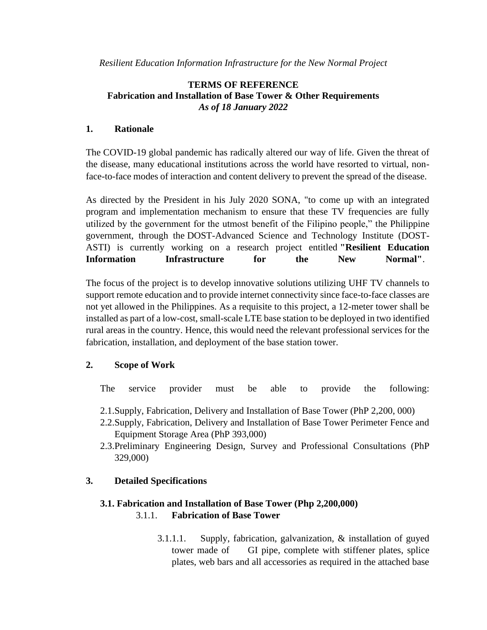*Resilient Education Information Infrastructure for the New Normal Project*

## **TERMS OF REFERENCE Fabrication and Installation of Base Tower & Other Requirements** *As of 18 January 2022*

## **1. Rationale**

The COVID-19 global pandemic has radically altered our way of life. Given the threat of the disease, many educational institutions across the world have resorted to virtual, nonface-to-face modes of interaction and content delivery to prevent the spread of the disease.

As directed by the President in his July 2020 SONA, "to come up with an integrated program and implementation mechanism to ensure that these TV frequencies are fully utilized by the government for the utmost benefit of the Filipino people," the Philippine government, through the DOST-Advanced Science and Technology Institute (DOST-ASTI) is currently working on a research project entitled **"Resilient Education Information Infrastructure for the New Normal"**.

The focus of the project is to develop innovative solutions utilizing UHF TV channels to support remote education and to provide internet connectivity since face-to-face classes are not yet allowed in the Philippines. As a requisite to this project, a 12-meter tower shall be installed as part of a low-cost, small-scale LTE base station to be deployed in two identified rural areas in the country. Hence, this would need the relevant professional services for the fabrication, installation, and deployment of the base station tower.

## **2. Scope of Work**

The service provider must be able to provide the following:

- 2.1.Supply, Fabrication, Delivery and Installation of Base Tower (PhP 2,200, 000)
- 2.2.Supply, Fabrication, Delivery and Installation of Base Tower Perimeter Fence and Equipment Storage Area (PhP 393,000)
- 2.3.Preliminary Engineering Design, Survey and Professional Consultations (PhP 329,000)

## **3. Detailed Specifications**

## **3.1. Fabrication and Installation of Base Tower (Php 2,200,000)** 3.1.1. **Fabrication of Base Tower**

3.1.1.1. Supply, fabrication, galvanization, & installation of guyed tower made of GI pipe, complete with stiffener plates, splice plates, web bars and all accessories as required in the attached base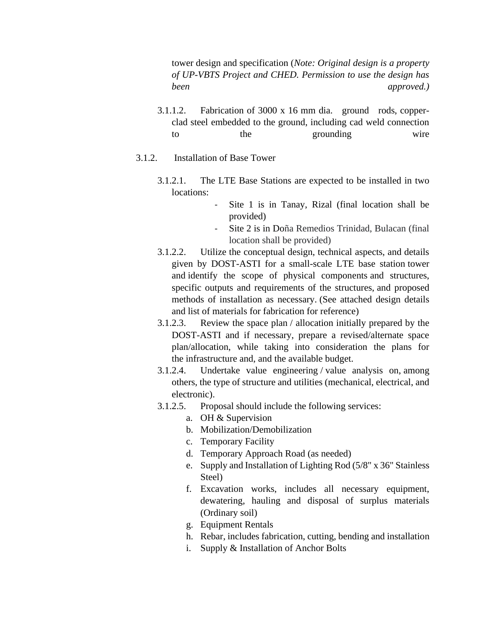tower design and specification (*Note: Original design is a property of UP-VBTS Project and CHED. Permission to use the design has been approved.)*

- 3.1.1.2. Fabrication of 3000 x 16 mm dia. ground rods, copperclad steel embedded to the ground, including cad weld connection to the grounding wire
- 3.1.2. Installation of Base Tower
	- 3.1.2.1. The LTE Base Stations are expected to be installed in two locations:
		- Site 1 is in Tanay, Rizal (final location shall be provided)
			- Site 2 is in Doña Remedios Trinidad, Bulacan (final location shall be provided)
	- 3.1.2.2. Utilize the conceptual design, technical aspects, and details given by DOST-ASTI for a small-scale LTE base station tower and identify the scope of physical components and structures, specific outputs and requirements of the structures, and proposed methods of installation as necessary. (See attached design details and list of materials for fabrication for reference)
	- 3.1.2.3. Review the space plan / allocation initially prepared by the DOST-ASTI and if necessary, prepare a revised/alternate space plan/allocation, while taking into consideration the plans for the infrastructure and, and the available budget.
	- 3.1.2.4. Undertake value engineering / value analysis on, among others, the type of structure and utilities (mechanical, electrical, and electronic).
	- 3.1.2.5. Proposal should include the following services:
		- a. OH & Supervision
		- b. Mobilization/Demobilization
		- c. Temporary Facility
		- d. Temporary Approach Road (as needed)
		- e. Supply and Installation of Lighting Rod (5/8" x 36" Stainless Steel)
		- f. Excavation works, includes all necessary equipment, dewatering, hauling and disposal of surplus materials (Ordinary soil)
		- g. Equipment Rentals
		- h. Rebar, includes fabrication, cutting, bending and installation
		- i. Supply & Installation of Anchor Bolts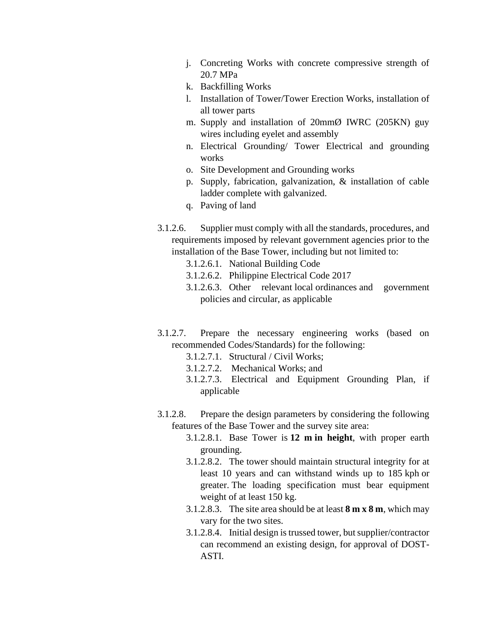- j. Concreting Works with concrete compressive strength of 20.7 MPa
- k. Backfilling Works
- l. Installation of Tower/Tower Erection Works, installation of all tower parts
- m. Supply and installation of 20mmØ IWRC (205KN) guy wires including eyelet and assembly
- n. Electrical Grounding/ Tower Electrical and grounding works
- o. Site Development and Grounding works
- p. Supply, fabrication, galvanization, & installation of cable ladder complete with galvanized.
- q. Paving of land
- 3.1.2.6. Supplier must comply with all the standards, procedures, and requirements imposed by relevant government agencies prior to the installation of the Base Tower, including but not limited to:
	- 3.1.2.6.1. National Building Code
	- 3.1.2.6.2. Philippine Electrical Code 2017
	- 3.1.2.6.3. Other relevant local ordinances and government policies and circular, as applicable
- 3.1.2.7. Prepare the necessary engineering works (based on recommended Codes/Standards) for the following:
	- 3.1.2.7.1. Structural / Civil Works;
	- 3.1.2.7.2. Mechanical Works; and
	- 3.1.2.7.3. Electrical and Equipment Grounding Plan, if applicable
- 3.1.2.8. Prepare the design parameters by considering the following features of the Base Tower and the survey site area:
	- 3.1.2.8.1. Base Tower is **12 m in height**, with proper earth grounding.
	- 3.1.2.8.2. The tower should maintain structural integrity for at least 10 years and can withstand winds up to 185 kph or greater. The loading specification must bear equipment weight of at least 150 kg.
	- 3.1.2.8.3. The site area should be at least **8 m x 8 m**, which may vary for the two sites.
	- 3.1.2.8.4. Initial design is trussed tower, but supplier/contractor can recommend an existing design, for approval of DOST-ASTI.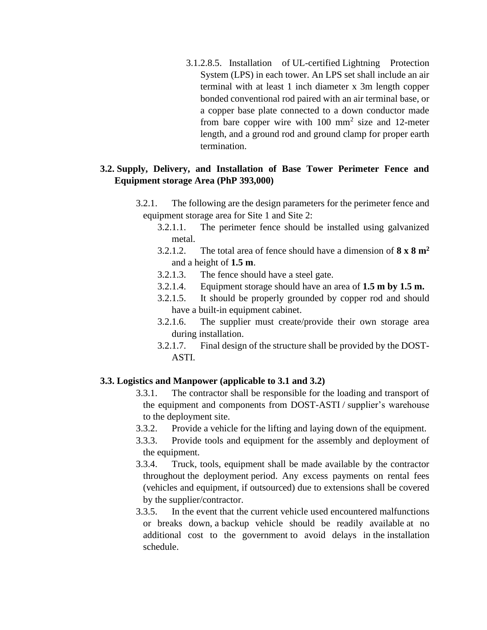3.1.2.8.5. Installation of UL-certified Lightning Protection System (LPS) in each tower. An LPS set shall include an air terminal with at least 1 inch diameter x 3m length copper bonded conventional rod paired with an air terminal base, or a copper base plate connected to a down conductor made from bare copper wire with  $100 \text{ mm}^2$  size and  $12$ -meter length, and a ground rod and ground clamp for proper earth termination.

## **3.2. Supply, Delivery, and Installation of Base Tower Perimeter Fence and Equipment storage Area (PhP 393,000)**

- 3.2.1. The following are the design parameters for the perimeter fence and equipment storage area for Site 1 and Site 2:
	- 3.2.1.1. The perimeter fence should be installed using galvanized metal.
	- 3.2.1.2. The total area of fence should have a dimension of **8 x 8 m<sup>2</sup>** and a height of **1.5 m**.
	- 3.2.1.3. The fence should have a steel gate.
	- 3.2.1.4. Equipment storage should have an area of **1.5 m by 1.5 m.**
	- 3.2.1.5. It should be properly grounded by copper rod and should have a built-in equipment cabinet.
	- 3.2.1.6. The supplier must create/provide their own storage area during installation.
	- 3.2.1.7. Final design of the structure shall be provided by the DOST-ASTI.

### **3.3. Logistics and Manpower (applicable to 3.1 and 3.2)**

- 3.3.1. The contractor shall be responsible for the loading and transport of the equipment and components from DOST-ASTI / supplier's warehouse to the deployment site.
- 3.3.2. Provide a vehicle for the lifting and laying down of the equipment.
- 3.3.3. Provide tools and equipment for the assembly and deployment of the equipment.
- 3.3.4. Truck, tools, equipment shall be made available by the contractor throughout the deployment period. Any excess payments on rental fees (vehicles and equipment, if outsourced) due to extensions shall be covered by the supplier/contractor.
- 3.3.5. In the event that the current vehicle used encountered malfunctions or breaks down, a backup vehicle should be readily available at no additional cost to the government to avoid delays in the installation schedule.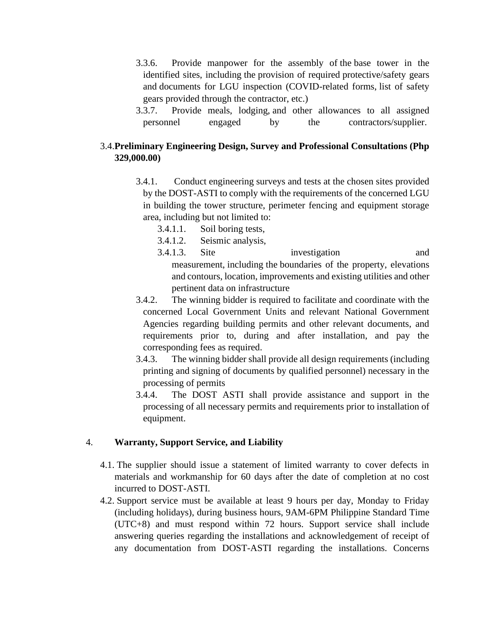- 3.3.6. Provide manpower for the assembly of the base tower in the identified sites, including the provision of required protective/safety gears and documents for LGU inspection (COVID-related forms, list of safety gears provided through the contractor, etc.)
- 3.3.7. Provide meals, lodging, and other allowances to all assigned personnel engaged by the contractors/supplier.

## 3.4.**Preliminary Engineering Design, Survey and Professional Consultations (Php 329,000.00)**

- 3.4.1. Conduct engineering surveys and tests at the chosen sites provided by the DOST-ASTI to comply with the requirements of the concerned LGU in building the tower structure, perimeter fencing and equipment storage area, including but not limited to:
	- 3.4.1.1. Soil boring tests,
	- 3.4.1.2. Seismic analysis,
	- 3.4.1.3. Site investigation and measurement, including the boundaries of the property, elevations and contours, location, improvements and existing utilities and other pertinent data on infrastructure
- 3.4.2. The winning bidder is required to facilitate and coordinate with the concerned Local Government Units and relevant National Government Agencies regarding building permits and other relevant documents, and requirements prior to, during and after installation, and pay the corresponding fees as required.
- 3.4.3. The winning bidder shall provide all design requirements (including printing and signing of documents by qualified personnel) necessary in the processing of permits
- 3.4.4. The DOST ASTI shall provide assistance and support in the processing of all necessary permits and requirements prior to installation of equipment.

### 4. **Warranty, Support Service, and Liability**

- 4.1. The supplier should issue a statement of limited warranty to cover defects in materials and workmanship for 60 days after the date of completion at no cost incurred to DOST-ASTI.
- 4.2. Support service must be available at least 9 hours per day, Monday to Friday (including holidays), during business hours, 9AM-6PM Philippine Standard Time (UTC+8) and must respond within 72 hours. Support service shall include answering queries regarding the installations and acknowledgement of receipt of any documentation from DOST-ASTI regarding the installations. Concerns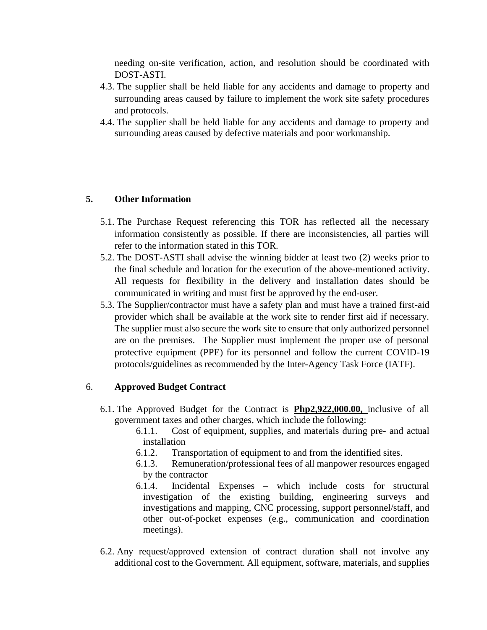needing on-site verification, action, and resolution should be coordinated with DOST-ASTI.

- 4.3. The supplier shall be held liable for any accidents and damage to property and surrounding areas caused by failure to implement the work site safety procedures and protocols.
- 4.4. The supplier shall be held liable for any accidents and damage to property and surrounding areas caused by defective materials and poor workmanship.

### **5. Other Information**

- 5.1. The Purchase Request referencing this TOR has reflected all the necessary information consistently as possible. If there are inconsistencies, all parties will refer to the information stated in this TOR.
- 5.2. The DOST-ASTI shall advise the winning bidder at least two (2) weeks prior to the final schedule and location for the execution of the above-mentioned activity. All requests for flexibility in the delivery and installation dates should be communicated in writing and must first be approved by the end-user.
- 5.3. The Supplier/contractor must have a safety plan and must have a trained first-aid provider which shall be available at the work site to render first aid if necessary. The supplier must also secure the work site to ensure that only authorized personnel are on the premises. The Supplier must implement the proper use of personal protective equipment (PPE) for its personnel and follow the current COVID-19 protocols/guidelines as recommended by the Inter-Agency Task Force (IATF).

### 6. **Approved Budget Contract**

- 6.1. The Approved Budget for the Contract is **Php2,922,000.00,** inclusive of all government taxes and other charges, which include the following:
	- 6.1.1. Cost of equipment, supplies, and materials during pre- and actual installation
	- 6.1.2. Transportation of equipment to and from the identified sites.
	- 6.1.3. Remuneration/professional fees of all manpower resources engaged by the contractor
	- 6.1.4. Incidental Expenses which include costs for structural investigation of the existing building, engineering surveys and investigations and mapping, CNC processing, support personnel/staff, and other out-of-pocket expenses (e.g., communication and coordination meetings).
- 6.2. Any request/approved extension of contract duration shall not involve any additional cost to the Government. All equipment, software, materials, and supplies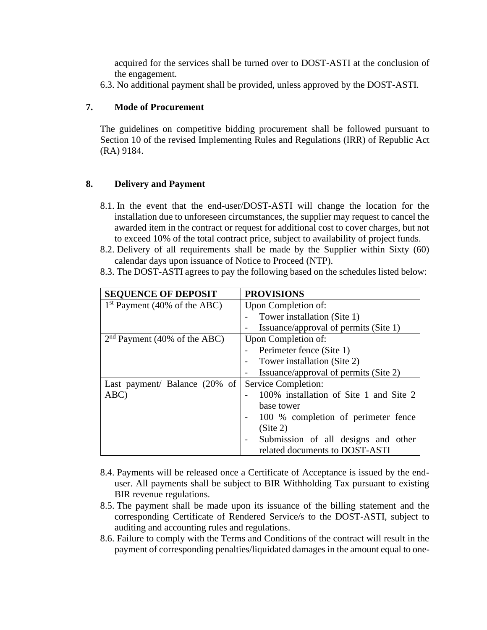acquired for the services shall be turned over to DOST-ASTI at the conclusion of the engagement.

6.3. No additional payment shall be provided, unless approved by the DOST-ASTI.

### **7. Mode of Procurement**

The guidelines on competitive bidding procurement shall be followed pursuant to Section 10 of the revised Implementing Rules and Regulations (IRR) of Republic Act (RA) 9184.

### **8. Delivery and Payment**

- 8.1. In the event that the end-user/DOST-ASTI will change the location for the installation due to unforeseen circumstances, the supplier may request to cancel the awarded item in the contract or request for additional cost to cover charges, but not to exceed 10% of the total contract price, subject to availability of project funds.
- 8.2. Delivery of all requirements shall be made by the Supplier within Sixty (60) calendar days upon issuance of Notice to Proceed (NTP).
- 8.3. The DOST-ASTI agrees to pay the following based on the schedules listed below:

| <b>SEQUENCE OF DEPOSIT</b>     | <b>PROVISIONS</b>                      |
|--------------------------------|----------------------------------------|
| $1st$ Payment (40% of the ABC) | Upon Completion of:                    |
|                                | Tower installation (Site 1)            |
|                                | Issuance/approval of permits (Site 1)  |
| $2nd$ Payment (40% of the ABC) | Upon Completion of:                    |
|                                | Perimeter fence (Site 1)               |
|                                | Tower installation (Site 2)            |
|                                | Issuance/approval of permits (Site 2)  |
| Last payment/ Balance (20% of  | Service Completion:                    |
| ABC)                           | 100% installation of Site 1 and Site 2 |
|                                | base tower                             |
|                                | 100 % completion of perimeter fence    |
|                                | (Site 2)                               |
|                                | Submission of all designs and other    |
|                                | related documents to DOST-ASTI         |

- 8.4. Payments will be released once a Certificate of Acceptance is issued by the enduser. All payments shall be subject to BIR Withholding Tax pursuant to existing BIR revenue regulations.
- 8.5. The payment shall be made upon its issuance of the billing statement and the corresponding Certificate of Rendered Service/s to the DOST-ASTI, subject to auditing and accounting rules and regulations.
- 8.6. Failure to comply with the Terms and Conditions of the contract will result in the payment of corresponding penalties/liquidated damages in the amount equal to one-